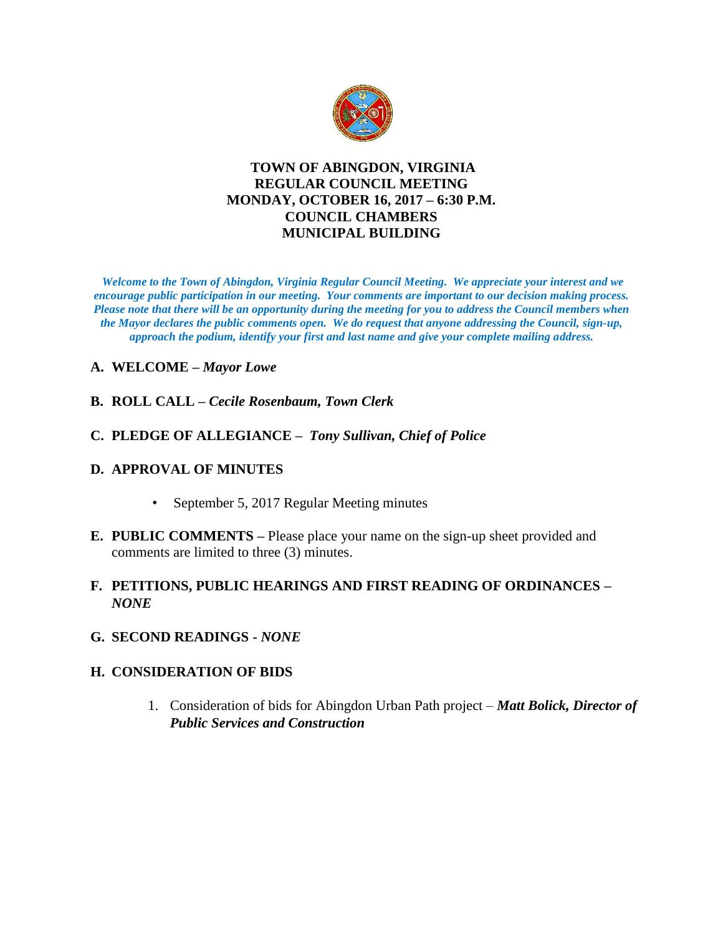

### **TOWN OF ABINGDON, VIRGINIA REGULAR COUNCIL MEETING MONDAY, OCTOBER 16, 2017 – 6:30 P.M. COUNCIL CHAMBERS MUNICIPAL BUILDING**

*Welcome to the Town of Abingdon, Virginia Regular Council Meeting. We appreciate your interest and we encourage public participation in our meeting. Your comments are important to our decision making process. Please note that there will be an opportunity during the meeting for you to address the Council members when the Mayor declares the public comments open. We do request that anyone addressing the Council, sign-up, approach the podium, identify your first and last name and give your complete mailing address.* 

### **A. WELCOME –** *Mayor Lowe*

- **B. ROLL CALL –** *Cecile Rosenbaum, Town Clerk*
- **C. PLEDGE OF ALLEGIANCE** *Tony Sullivan, Chief of Police*

#### **D. APPROVAL OF MINUTES**

- September 5, 2017 Regular Meeting minutes
- **E. PUBLIC COMMENTS –** Please place your name on the sign-up sheet provided and comments are limited to three (3) minutes.

### **F. PETITIONS, PUBLIC HEARINGS AND FIRST READING OF ORDINANCES –** *NONE*

**G. SECOND READINGS -** *NONE*

### **H. CONSIDERATION OF BIDS**

1. Consideration of bids for Abingdon Urban Path project – *Matt Bolick, Director of Public Services and Construction*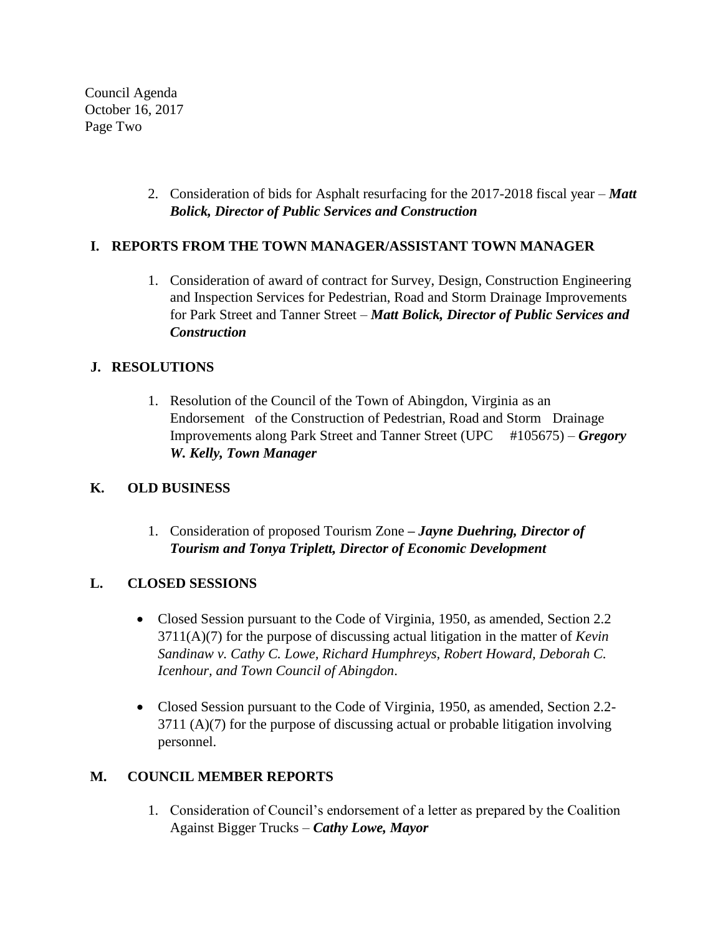Council Agenda October 16, 2017 Page Two

> 2. Consideration of bids for Asphalt resurfacing for the 2017-2018 fiscal year – *Matt Bolick, Director of Public Services and Construction*

### **I. REPORTS FROM THE TOWN MANAGER/ASSISTANT TOWN MANAGER**

1. Consideration of award of contract for Survey, Design, Construction Engineering and Inspection Services for Pedestrian, Road and Storm Drainage Improvements for Park Street and Tanner Street – *Matt Bolick, Director of Public Services and Construction*

### **J. RESOLUTIONS**

1. Resolution of the Council of the Town of Abingdon, Virginia as an Endorsement of the Construction of Pedestrian, Road and Storm Drainage Improvements along Park Street and Tanner Street (UPC #105675) – *Gregory W. Kelly, Town Manager*

## **K. OLD BUSINESS**

1. Consideration of proposed Tourism Zone **–** *Jayne Duehring, Director of Tourism and Tonya Triplett, Director of Economic Development*

## **L. CLOSED SESSIONS**

- Closed Session pursuant to the Code of Virginia, 1950, as amended, Section 2.2 3711(A)(7) for the purpose of discussing actual litigation in the matter of *Kevin Sandinaw v. Cathy C. Lowe, Richard Humphreys, Robert Howard, Deborah C. Icenhour, and Town Council of Abingdon*.
- Closed Session pursuant to the Code of Virginia, 1950, as amended, Section 2.2-3711 (A)(7) for the purpose of discussing actual or probable litigation involving personnel.

## **M. COUNCIL MEMBER REPORTS**

1. Consideration of Council's endorsement of a letter as prepared by the Coalition Against Bigger Trucks – *Cathy Lowe, Mayor*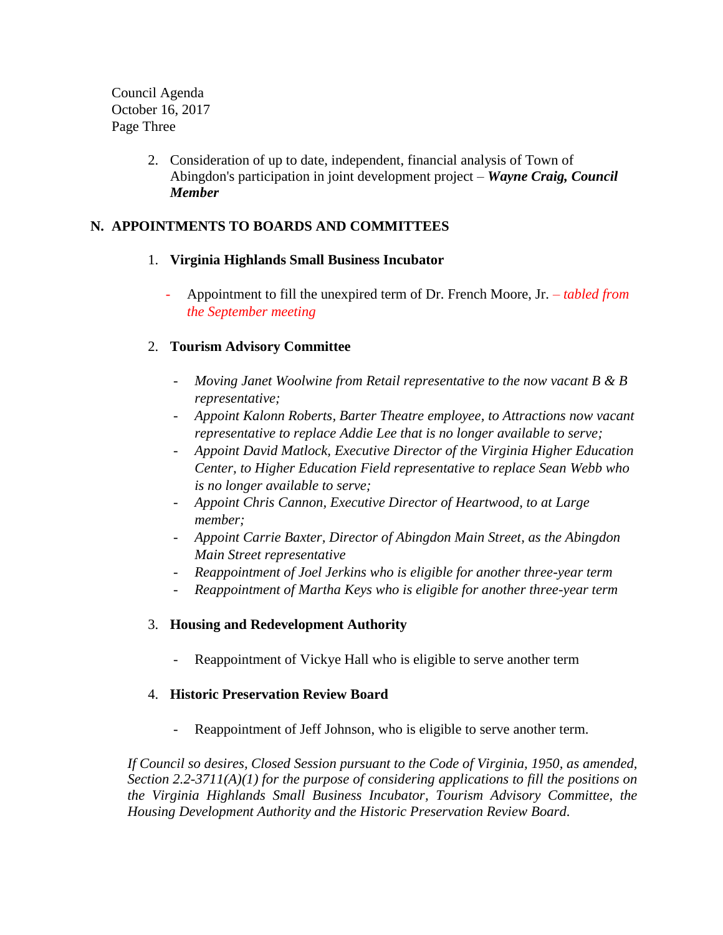Council Agenda October 16, 2017 Page Three

> 2. Consideration of up to date, independent, financial analysis of Town of Abingdon's participation in joint development project – *Wayne Craig, Council Member*

### **N. APPOINTMENTS TO BOARDS AND COMMITTEES**

### 1. **Virginia Highlands Small Business Incubator**

- Appointment to fill the unexpired term of Dr. French Moore, Jr. *– tabled from the September meeting* 

### 2. **Tourism Advisory Committee**

- *Moving Janet Woolwine from Retail representative to the now vacant B & B representative;*
- *Appoint Kalonn Roberts, Barter Theatre employee, to Attractions now vacant representative to replace Addie Lee that is no longer available to serve;*
- *Appoint David Matlock, Executive Director of the Virginia Higher Education Center, to Higher Education Field representative to replace Sean Webb who is no longer available to serve;*
- *Appoint Chris Cannon, Executive Director of Heartwood, to at Large member;*
- *Appoint Carrie Baxter, Director of Abingdon Main Street, as the Abingdon Main Street representative*
- *Reappointment of Joel Jerkins who is eligible for another three-year term*
- *Reappointment of Martha Keys who is eligible for another three-year term*

### 3. **Housing and Redevelopment Authority**

Reappointment of Vickye Hall who is eligible to serve another term

### 4. **Historic Preservation Review Board**

Reappointment of Jeff Johnson, who is eligible to serve another term.

*If Council so desires, Closed Session pursuant to the Code of Virginia, 1950, as amended, Section 2.2-3711(A)(1) for the purpose of considering applications to fill the positions on the Virginia Highlands Small Business Incubator, Tourism Advisory Committee, the Housing Development Authority and the Historic Preservation Review Board.*